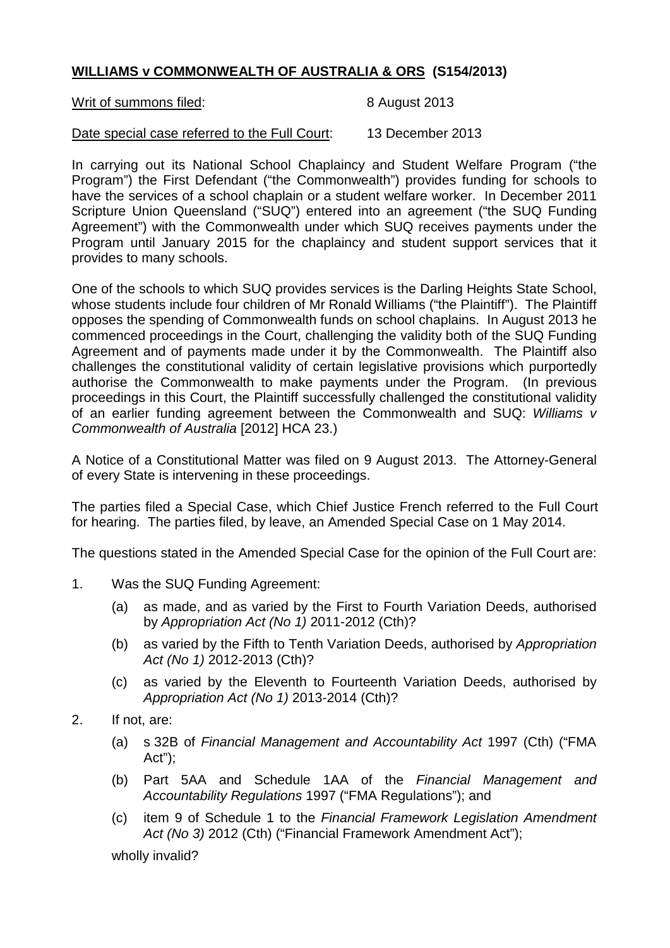## **WILLIAMS v COMMONWEALTH OF AUSTRALIA & ORS (S154/2013)**

Writ of summons filed: 8 August 2013

Date special case referred to the Full Court: 13 December 2013

In carrying out its National School Chaplaincy and Student Welfare Program ("the Program") the First Defendant ("the Commonwealth") provides funding for schools to have the services of a school chaplain or a student welfare worker. In December 2011 Scripture Union Queensland ("SUQ") entered into an agreement ("the SUQ Funding Agreement") with the Commonwealth under which SUQ receives payments under the Program until January 2015 for the chaplaincy and student support services that it provides to many schools.

One of the schools to which SUQ provides services is the Darling Heights State School, whose students include four children of Mr Ronald Williams ("the Plaintiff"). The Plaintiff opposes the spending of Commonwealth funds on school chaplains. In August 2013 he commenced proceedings in the Court, challenging the validity both of the SUQ Funding Agreement and of payments made under it by the Commonwealth. The Plaintiff also challenges the constitutional validity of certain legislative provisions which purportedly authorise the Commonwealth to make payments under the Program. (In previous proceedings in this Court, the Plaintiff successfully challenged the constitutional validity of an earlier funding agreement between the Commonwealth and SUQ: *Williams v Commonwealth of Australia* [2012] HCA 23.)

A Notice of a Constitutional Matter was filed on 9 August 2013. The Attorney-General of every State is intervening in these proceedings.

The parties filed a Special Case, which Chief Justice French referred to the Full Court for hearing. The parties filed, by leave, an Amended Special Case on 1 May 2014.

The questions stated in the Amended Special Case for the opinion of the Full Court are:

- 1. Was the SUQ Funding Agreement:
	- (a) as made, and as varied by the First to Fourth Variation Deeds, authorised by *Appropriation Act (No 1)* 2011-2012 (Cth)?
	- (b) as varied by the Fifth to Tenth Variation Deeds, authorised by *Appropriation Act (No 1)* 2012-2013 (Cth)?
	- (c) as varied by the Eleventh to Fourteenth Variation Deeds, authorised by *Appropriation Act (No 1)* 2013-2014 (Cth)?
- 2. If not, are:
	- (a) s 32B of *Financial Management and Accountability Act* 1997 (Cth) ("FMA Act");
	- (b) Part 5AA and Schedule 1AA of the *Financial Management and Accountability Regulations* 1997 ("FMA Regulations"); and
	- (c) item 9 of Schedule 1 to the *Financial Framework Legislation Amendment Act (No 3)* 2012 (Cth) ("Financial Framework Amendment Act");

wholly invalid?